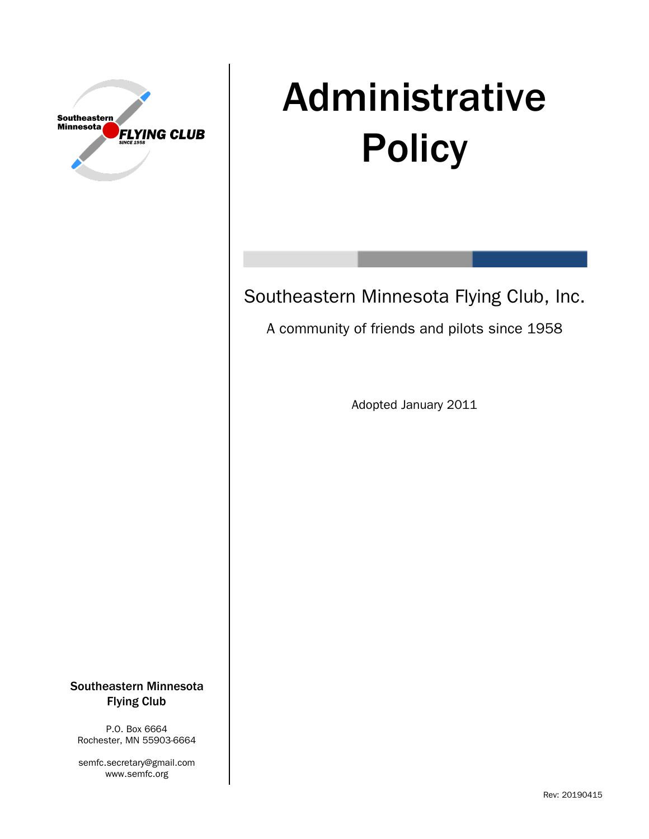

# Administrative **Policy**

Southeastern Minnesota Flying Club, Inc.

A community of friends and pilots since 1958

Adopted January 2011

Southeastern Minnesota Flying Club

P.O. Box 6664 Rochester, MN 55903-6664

semfc.secretary@gmail.com www.semfc.org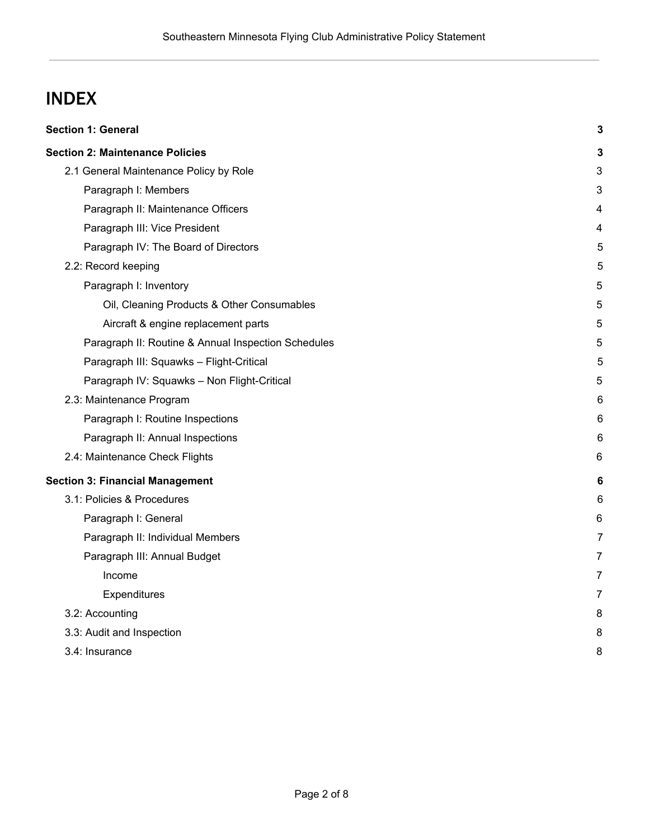# INDEX

| <b>Section 1: General</b>                           | 3 |
|-----------------------------------------------------|---|
| <b>Section 2: Maintenance Policies</b>              | 3 |
| 2.1 General Maintenance Policy by Role              | 3 |
| Paragraph I: Members                                | 3 |
| Paragraph II: Maintenance Officers                  | 4 |
| Paragraph III: Vice President                       | 4 |
| Paragraph IV: The Board of Directors                | 5 |
| 2.2: Record keeping                                 | 5 |
| Paragraph I: Inventory                              | 5 |
| Oil, Cleaning Products & Other Consumables          | 5 |
| Aircraft & engine replacement parts                 | 5 |
| Paragraph II: Routine & Annual Inspection Schedules | 5 |
| Paragraph III: Squawks - Flight-Critical            | 5 |
| Paragraph IV: Squawks - Non Flight-Critical         | 5 |
| 2.3: Maintenance Program                            | 6 |
| Paragraph I: Routine Inspections                    | 6 |
| Paragraph II: Annual Inspections                    | 6 |
| 2.4: Maintenance Check Flights                      | 6 |
| <b>Section 3: Financial Management</b>              | 6 |
| 3.1: Policies & Procedures                          | 6 |
| Paragraph I: General                                | 6 |
| Paragraph II: Individual Members                    | 7 |
| Paragraph III: Annual Budget                        | 7 |
| Income                                              | 7 |
| Expenditures                                        | 7 |
| 3.2: Accounting                                     | 8 |
| 3.3: Audit and Inspection                           | 8 |
| 3.4: Insurance                                      | 8 |
|                                                     |   |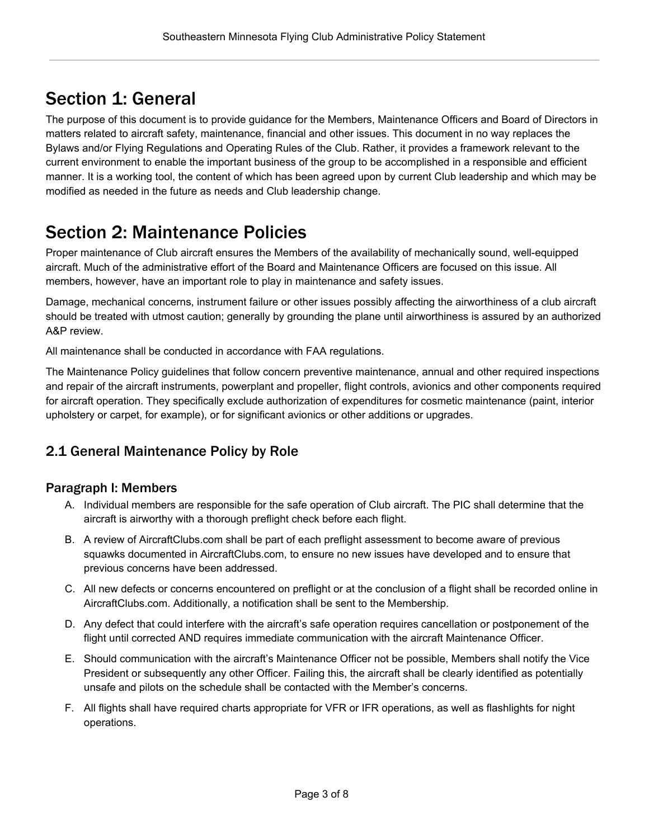# <span id="page-2-0"></span>Section 1: General

The purpose of this document is to provide guidance for the Members, Maintenance Officers and Board of Directors in matters related to aircraft safety, maintenance, financial and other issues. This document in no way replaces the Bylaws and/or Flying Regulations and Operating Rules of the Club. Rather, it provides a framework relevant to the current environment to enable the important business of the group to be accomplished in a responsible and efficient manner. It is a working tool, the content of which has been agreed upon by current Club leadership and which may be modified as needed in the future as needs and Club leadership change.

# <span id="page-2-1"></span>Section 2: Maintenance Policies

Proper maintenance of Club aircraft ensures the Members of the availability of mechanically sound, well-equipped aircraft. Much of the administrative effort of the Board and Maintenance Officers are focused on this issue. All members, however, have an important role to play in maintenance and safety issues.

Damage, mechanical concerns, instrument failure or other issues possibly affecting the airworthiness of a club aircraft should be treated with utmost caution; generally by grounding the plane until airworthiness is assured by an authorized A&P review.

All maintenance shall be conducted in accordance with FAA regulations.

The Maintenance Policy guidelines that follow concern preventive maintenance, annual and other required inspections and repair of the aircraft instruments, powerplant and propeller, flight controls, avionics and other components required for aircraft operation. They specifically exclude authorization of expenditures for cosmetic maintenance (paint, interior upholstery or carpet, for example), or for significant avionics or other additions or upgrades.

# <span id="page-2-2"></span>2.1 General Maintenance Policy by Role

#### <span id="page-2-3"></span>Paragraph I: Members

- A. Individual members are responsible for the safe operation of Club aircraft. The PIC shall determine that the aircraft is airworthy with a thorough preflight check before each flight.
- B. A review of AircraftClubs.com shall be part of each preflight assessment to become aware of previous squawks documented in AircraftClubs.com, to ensure no new issues have developed and to ensure that previous concerns have been addressed.
- C. All new defects or concerns encountered on preflight or at the conclusion of a flight shall be recorded online in AircraftClubs.com. Additionally, a notification shall be sent to the Membership.
- D. Any defect that could interfere with the aircraft's safe operation requires cancellation or postponement of the flight until corrected AND requires immediate communication with the aircraft Maintenance Officer.
- E. Should communication with the aircraft's Maintenance Officer not be possible, Members shall notify the Vice President or subsequently any other Officer. Failing this, the aircraft shall be clearly identified as potentially unsafe and pilots on the schedule shall be contacted with the Member's concerns.
- F. All flights shall have required charts appropriate for VFR or IFR operations, as well as flashlights for night operations.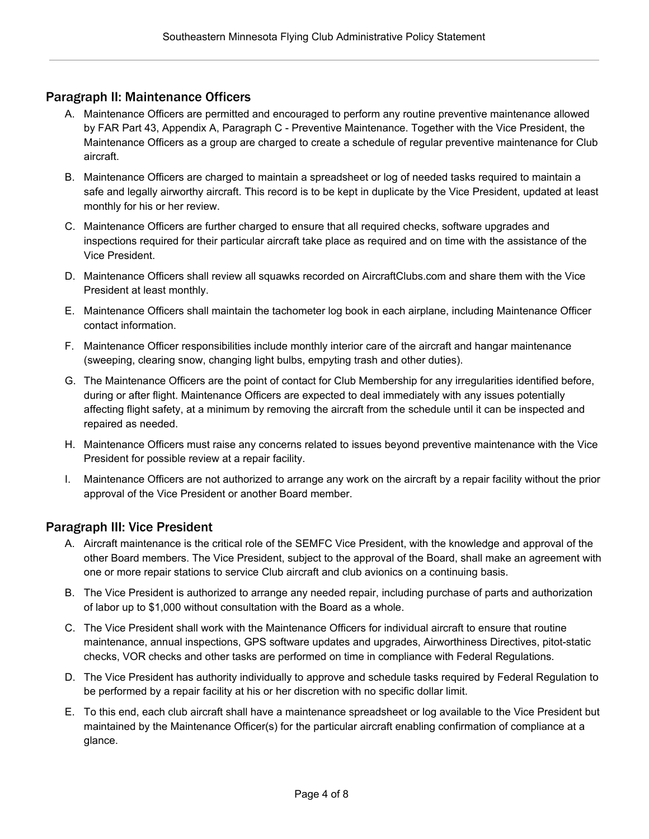#### <span id="page-3-0"></span>Paragraph II: Maintenance Officers

- A. Maintenance Officers are permitted and encouraged to perform any routine preventive maintenance allowed by FAR Part 43, Appendix A, Paragraph C - Preventive Maintenance. Together with the Vice President, the Maintenance Officers as a group are charged to create a schedule of regular preventive maintenance for Club aircraft.
- B. Maintenance Officers are charged to maintain a spreadsheet or log of needed tasks required to maintain a safe and legally airworthy aircraft. This record is to be kept in duplicate by the Vice President, updated at least monthly for his or her review.
- C. Maintenance Officers are further charged to ensure that all required checks, software upgrades and inspections required for their particular aircraft take place as required and on time with the assistance of the Vice President.
- D. Maintenance Officers shall review all squawks recorded on AircraftClubs.com and share them with the Vice President at least monthly.
- E. Maintenance Officers shall maintain the tachometer log book in each airplane, including Maintenance Officer contact information.
- F. Maintenance Officer responsibilities include monthly interior care of the aircraft and hangar maintenance (sweeping, clearing snow, changing light bulbs, empyting trash and other duties).
- G. The Maintenance Officers are the point of contact for Club Membership for any irregularities identified before, during or after flight. Maintenance Officers are expected to deal immediately with any issues potentially affecting flight safety, at a minimum by removing the aircraft from the schedule until it can be inspected and repaired as needed.
- H. Maintenance Officers must raise any concerns related to issues beyond preventive maintenance with the Vice President for possible review at a repair facility.
- I. Maintenance Officers are not authorized to arrange any work on the aircraft by a repair facility without the prior approval of the Vice President or another Board member.

#### <span id="page-3-1"></span>Paragraph III: Vice President

- A. Aircraft maintenance is the critical role of the SEMFC Vice President, with the knowledge and approval of the other Board members. The Vice President, subject to the approval of the Board, shall make an agreement with one or more repair stations to service Club aircraft and club avionics on a continuing basis.
- B. The Vice President is authorized to arrange any needed repair, including purchase of parts and authorization of labor up to \$1,000 without consultation with the Board as a whole.
- C. The Vice President shall work with the Maintenance Officers for individual aircraft to ensure that routine maintenance, annual inspections, GPS software updates and upgrades, Airworthiness Directives, pitot-static checks, VOR checks and other tasks are performed on time in compliance with Federal Regulations.
- D. The Vice President has authority individually to approve and schedule tasks required by Federal Regulation to be performed by a repair facility at his or her discretion with no specific dollar limit.
- E. To this end, each club aircraft shall have a maintenance spreadsheet or log available to the Vice President but maintained by the Maintenance Officer(s) for the particular aircraft enabling confirmation of compliance at a glance.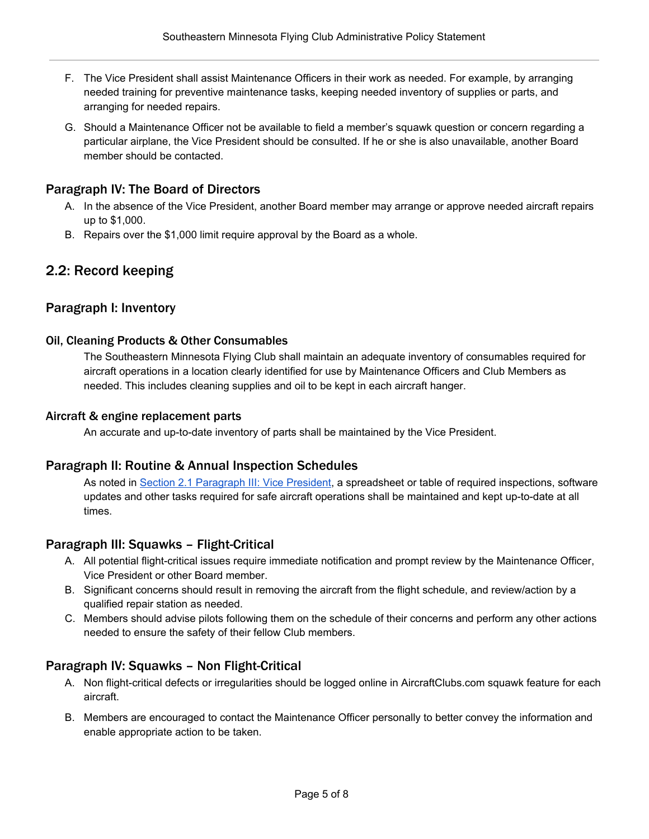- F. The Vice President shall assist Maintenance Officers in their work as needed. For example, by arranging needed training for preventive maintenance tasks, keeping needed inventory of supplies or parts, and arranging for needed repairs.
- G. Should a Maintenance Officer not be available to field a member's squawk question or concern regarding a particular airplane, the Vice President should be consulted. If he or she is also unavailable, another Board member should be contacted.

#### <span id="page-4-0"></span>Paragraph IV: The Board of Directors

- A. In the absence of the Vice President, another Board member may arrange or approve needed aircraft repairs up to \$1,000.
- B. Repairs over the \$1,000 limit require approval by the Board as a whole.

# <span id="page-4-1"></span>2.2: Record keeping

#### <span id="page-4-3"></span><span id="page-4-2"></span>Paragraph I: Inventory

#### Oil, Cleaning Products & Other Consumables

The Southeastern Minnesota Flying Club shall maintain an adequate inventory of consumables required for aircraft operations in a location clearly identified for use by Maintenance Officers and Club Members as needed. This includes cleaning supplies and oil to be kept in each aircraft hanger.

#### <span id="page-4-4"></span>Aircraft & engine replacement parts

An accurate and up-to-date inventory of parts shall be maintained by the Vice President.

#### <span id="page-4-5"></span>Paragraph II: Routine & Annual Inspection Schedules

As noted in Section 2.1 [Paragraph](#page-3-1) III: Vice President, a spreadsheet or table of required inspections, software updates and other tasks required for safe aircraft operations shall be maintained and kept up-to-date at all times.

#### <span id="page-4-6"></span>Paragraph III: Squawks – Flight-Critical

- A. All potential flight-critical issues require immediate notification and prompt review by the Maintenance Officer, Vice President or other Board member.
- B. Significant concerns should result in removing the aircraft from the flight schedule, and review/action by a qualified repair station as needed.
- C. Members should advise pilots following them on the schedule of their concerns and perform any other actions needed to ensure the safety of their fellow Club members.

#### <span id="page-4-7"></span>Paragraph IV: Squawks – Non Flight-Critical

- A. Non flight-critical defects or irregularities should be logged online in AircraftClubs.com squawk feature for each aircraft.
- B. Members are encouraged to contact the Maintenance Officer personally to better convey the information and enable appropriate action to be taken.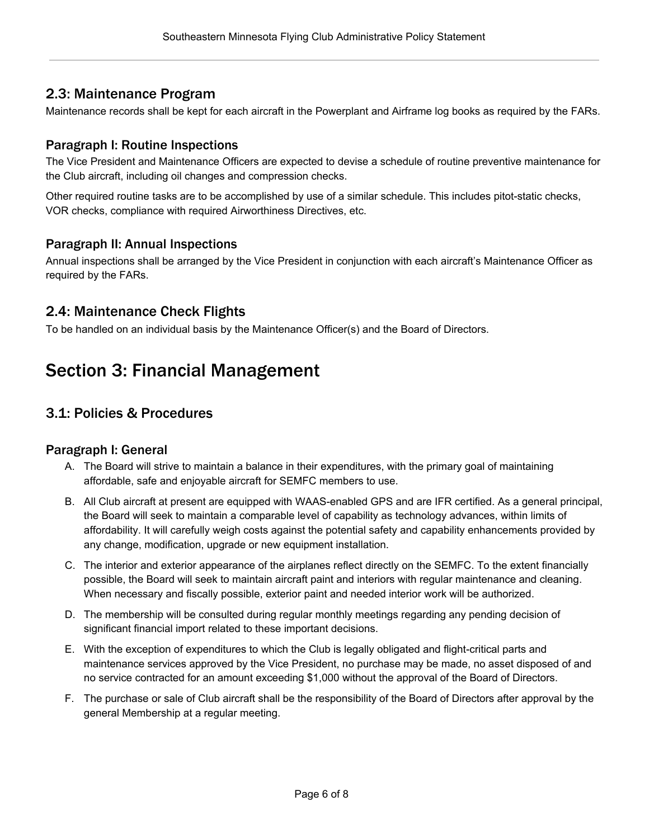# <span id="page-5-0"></span>2.3: Maintenance Program

Maintenance records shall be kept for each aircraft in the Powerplant and Airframe log books as required by the FARs.

## <span id="page-5-1"></span>Paragraph I: Routine Inspections

The Vice President and Maintenance Officers are expected to devise a schedule of routine preventive maintenance for the Club aircraft, including oil changes and compression checks.

Other required routine tasks are to be accomplished by use of a similar schedule. This includes pitot-static checks, VOR checks, compliance with required Airworthiness Directives, etc.

#### <span id="page-5-2"></span>Paragraph II: Annual Inspections

Annual inspections shall be arranged by the Vice President in conjunction with each aircraft's Maintenance Officer as required by the FARs.

# <span id="page-5-3"></span>2.4: Maintenance Check Flights

To be handled on an individual basis by the Maintenance Officer(s) and the Board of Directors.

# <span id="page-5-4"></span>Section 3: Financial Management

# <span id="page-5-5"></span>3.1: Policies & Procedures

#### <span id="page-5-6"></span>Paragraph I: General

- A. The Board will strive to maintain a balance in their expenditures, with the primary goal of maintaining affordable, safe and enjoyable aircraft for SEMFC members to use.
- B. All Club aircraft at present are equipped with WAAS-enabled GPS and are IFR certified. As a general principal, the Board will seek to maintain a comparable level of capability as technology advances, within limits of affordability. It will carefully weigh costs against the potential safety and capability enhancements provided by any change, modification, upgrade or new equipment installation.
- C. The interior and exterior appearance of the airplanes reflect directly on the SEMFC. To the extent financially possible, the Board will seek to maintain aircraft paint and interiors with regular maintenance and cleaning. When necessary and fiscally possible, exterior paint and needed interior work will be authorized.
- D. The membership will be consulted during regular monthly meetings regarding any pending decision of significant financial import related to these important decisions.
- E. With the exception of expenditures to which the Club is legally obligated and flight-critical parts and maintenance services approved by the Vice President, no purchase may be made, no asset disposed of and no service contracted for an amount exceeding \$1,000 without the approval of the Board of Directors.
- F. The purchase or sale of Club aircraft shall be the responsibility of the Board of Directors after approval by the general Membership at a regular meeting.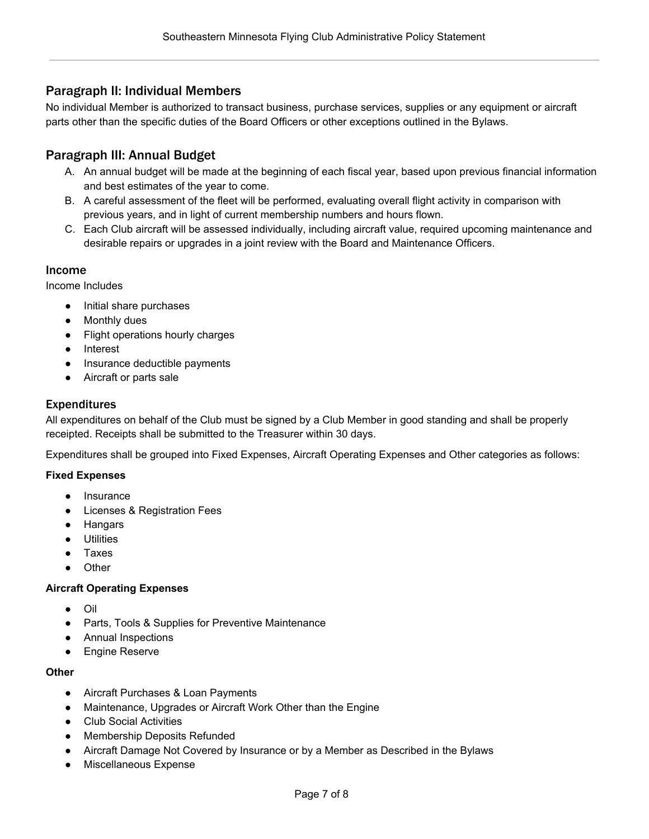## <span id="page-6-0"></span>Paragraph II: Individual Members

No individual Member is authorized to transact business, purchase services, supplies or any equipment or aircraft parts other than the specific duties of the Board Officers or other exceptions outlined in the Bylaws.

## <span id="page-6-1"></span>Paragraph III: Annual Budget

- A. An annual budget will be made at the beginning of each fiscal year, based upon previous financial information and best estimates of the year to come.
- B. A careful assessment of the fleet will be performed, evaluating overall flight activity in comparison with previous years, and in light of current membership numbers and hours flown.
- C. Each Club aircraft will be assessed individually, including aircraft value, required upcoming maintenance and desirable repairs or upgrades in a joint review with the Board and Maintenance Officers.

#### <span id="page-6-2"></span>Income

Income Includes

- Initial share purchases
- Monthly dues
- Flight operations hourly charges
- Interest
- Insurance deductible payments
- Aircraft or parts sale

#### <span id="page-6-3"></span>Expenditures

All expenditures on behalf of the Club must be signed by a Club Member in good standing and shall be properly receipted. Receipts shall be submitted to the Treasurer within 30 days.

Expenditures shall be grouped into Fixed Expenses, Aircraft Operating Expenses and Other categories as follows:

#### **Fixed Expenses**

- Insurance
- Licenses & Registration Fees
- Hangars
- Utilities
- Taxes
- **Other**

#### **Aircraft Operating Expenses**

- Oil
- Parts, Tools & Supplies for Preventive Maintenance
- Annual Inspections
- Engine Reserve

#### **Other**

- Aircraft Purchases & Loan Payments
- Maintenance, Upgrades or Aircraft Work Other than the Engine
- Club Social Activities
- Membership Deposits Refunded
- Aircraft Damage Not Covered by Insurance or by a Member as Described in the Bylaws
- Miscellaneous Expense